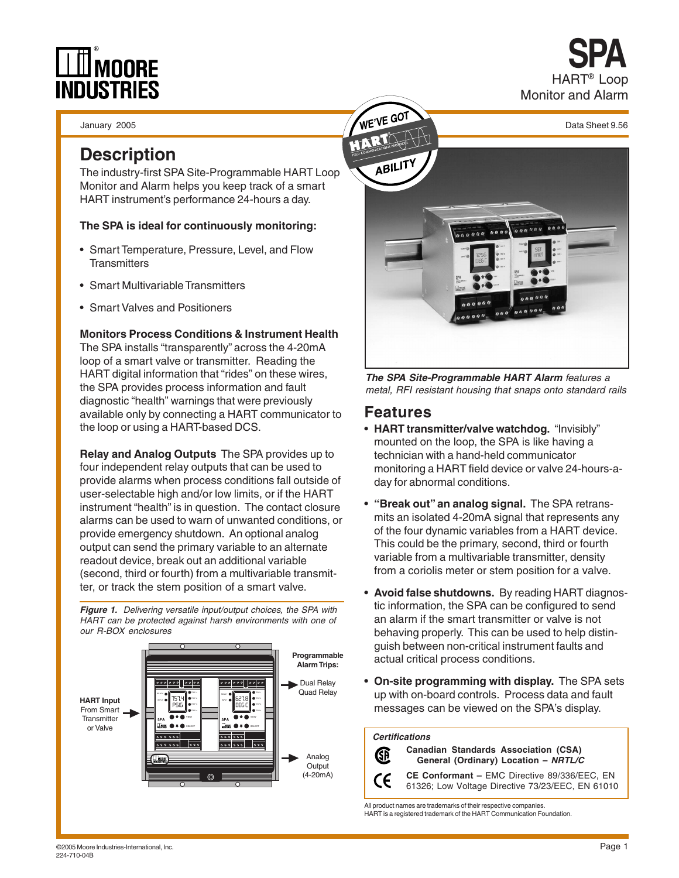# DUSTRIES

January 2005

#### **Description**

The industry-first SPA Site-Programmable HART Loop Monitor and Alarm helps you keep track of a smart HART instrument's performance 24-hours a day.

#### **The SPA is ideal for continuously monitoring:**

- Smart Temperature, Pressure, Level, and Flow **Transmitters**
- Smart Multivariable Transmitters
- Smart Valves and Positioners

#### **Monitors Process Conditions & Instrument Health**

The SPA installs "transparently" across the 4-20mA loop of a smart valve or transmitter. Reading the HART digital information that "rides" on these wires, the SPA provides process information and fault diagnostic "health" warnings that were previously available only by connecting a HART communicator to the loop or using a HART-based DCS.

**Relay and Analog Outputs** The SPA provides up to four independent relay outputs that can be used to provide alarms when process conditions fall outside of user-selectable high and/or low limits, or if the HART instrument "health" is in question. The contact closure alarms can be used to warn of unwanted conditions, or provide emergency shutdown. An optional analog output can send the primary variable to an alternate readout device, break out an additional variable (second, third or fourth) from a multivariable transmitter, or track the stem position of a smart valve.

**Figure 1.** Delivering versatile input/output choices, the SPA with HART can be protected against harsh environments with one of our R-BOX enclosures





HART® Loop

**SPA**

Monitor and Alarm

**The SPA Site-Programmable HART Alarm** features a metal, RFI resistant housing that snaps onto standard rails

#### **Features**

- **HART transmitter/valve watchdog.** "Invisibly" mounted on the loop, the SPA is like having a technician with a hand-held communicator monitoring a HART field device or valve 24-hours-aday for abnormal conditions.
- **"Break out" an analog signal.** The SPA retransmits an isolated 4-20mA signal that represents any of the four dynamic variables from a HART device. This could be the primary, second, third or fourth variable from a multivariable transmitter, density from a coriolis meter or stem position for a valve.
- **Avoid false shutdowns.** By reading HART diagnostic information, the SPA can be configured to send an alarm if the smart transmitter or valve is not behaving properly. This can be used to help distinguish between non-critical instrument faults and actual critical process conditions.
- **On-site programming with display.** The SPA sets up with on-board controls. Process data and fault messages can be viewed on the SPA's display.

#### **Certifications**

**GP** CE

**Canadian Standards Association (CSA) General (Ordinary) Location – NRTL/C**

**CE Conformant –** EMC Directive 89/336/EEC, EN 61326; Low Voltage Directive 73/23/EEC, EN 61010

All product names are trademarks of their respective companies. HART is a registered trademark of the HART Communication Foundation.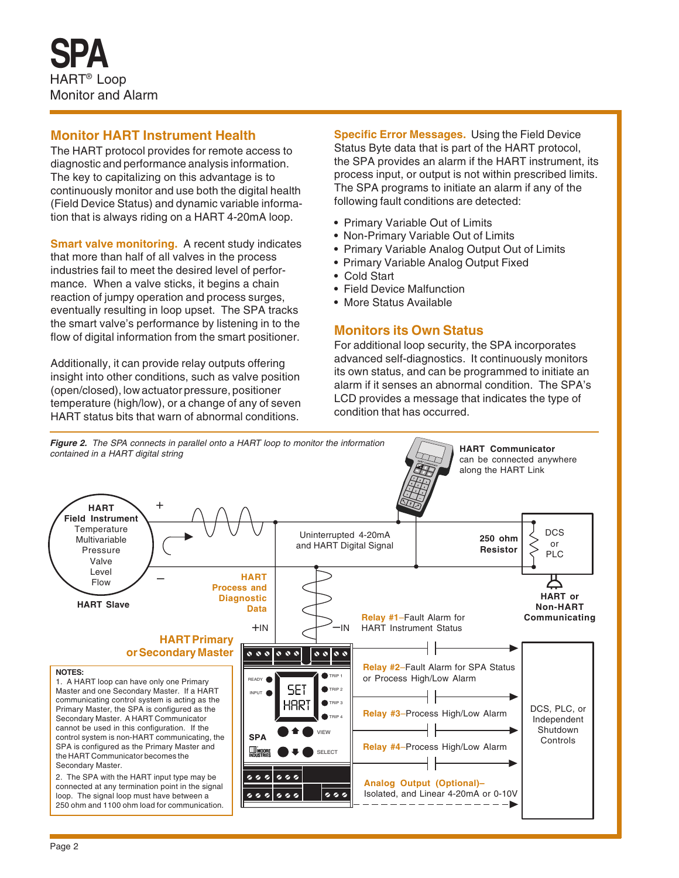#### **Monitor HART Instrument Health**

The HART protocol provides for remote access to diagnostic and performance analysis information. The key to capitalizing on this advantage is to continuously monitor and use both the digital health (Field Device Status) and dynamic variable information that is always riding on a HART 4-20mA loop.

**Smart valve monitoring.** A recent study indicates that more than half of all valves in the process industries fail to meet the desired level of performance. When a valve sticks, it begins a chain reaction of jumpy operation and process surges, eventually resulting in loop upset. The SPA tracks the smart valve's performance by listening in to the flow of digital information from the smart positioner.

Additionally, it can provide relay outputs offering insight into other conditions, such as valve position (open/closed), low actuator pressure, positioner temperature (high/low), or a change of any of seven HART status bits that warn of abnormal conditions.

**Specific Error Messages.** Using the Field Device Status Byte data that is part of the HART protocol, the SPA provides an alarm if the HART instrument, its process input, or output is not within prescribed limits. The SPA programs to initiate an alarm if any of the following fault conditions are detected:

- Primary Variable Out of Limits
- Non-Primary Variable Out of Limits
- Primary Variable Analog Output Out of Limits
- Primary Variable Analog Output Fixed
- Cold Start
- Field Device Malfunction
- More Status Available

#### **Monitors its Own Status**

For additional loop security, the SPA incorporates advanced self-diagnostics. It continuously monitors its own status, and can be programmed to initiate an alarm if it senses an abnormal condition. The SPA's LCD provides a message that indicates the type of condition that has occurred.

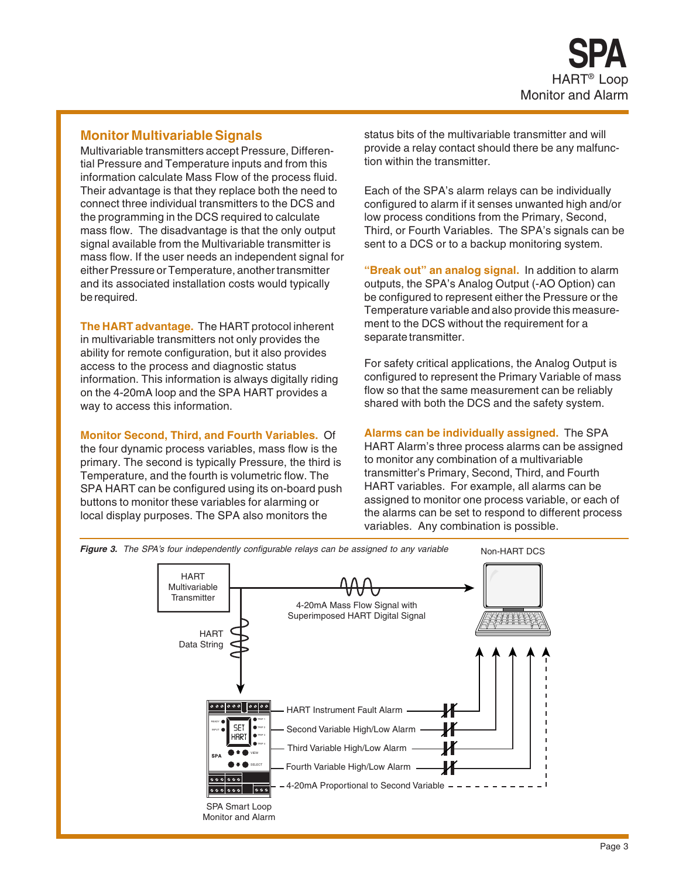#### **Monitor Multivariable Signals**

Multivariable transmitters accept Pressure, Differential Pressure and Temperature inputs and from this information calculate Mass Flow of the process fluid. Their advantage is that they replace both the need to connect three individual transmitters to the DCS and the programming in the DCS required to calculate mass flow. The disadvantage is that the only output signal available from the Multivariable transmitter is mass flow. If the user needs an independent signal for either Pressure or Temperature, another transmitter and its associated installation costs would typically be required.

**The HART advantage.** The HART protocol inherent in multivariable transmitters not only provides the ability for remote configuration, but it also provides access to the process and diagnostic status information. This information is always digitally riding on the 4-20mA loop and the SPA HART provides a way to access this information.

**Monitor Second, Third, and Fourth Variables.** Of

the four dynamic process variables, mass flow is the primary. The second is typically Pressure, the third is Temperature, and the fourth is volumetric flow. The SPA HART can be configured using its on-board push buttons to monitor these variables for alarming or local display purposes. The SPA also monitors the

status bits of the multivariable transmitter and will provide a relay contact should there be any malfunction within the transmitter.

Each of the SPA's alarm relays can be individually configured to alarm if it senses unwanted high and/or low process conditions from the Primary, Second, Third, or Fourth Variables. The SPA's signals can be sent to a DCS or to a backup monitoring system.

**"Break out" an analog signal.** In addition to alarm outputs, the SPA's Analog Output (-AO Option) can be configured to represent either the Pressure or the Temperature variable and also provide this measurement to the DCS without the requirement for a separate transmitter.

For safety critical applications, the Analog Output is configured to represent the Primary Variable of mass flow so that the same measurement can be reliably shared with both the DCS and the safety system.

**Alarms can be individually assigned.** The SPA HART Alarm's three process alarms can be assigned to monitor any combination of a multivariable transmitter's Primary, Second, Third, and Fourth HART variables. For example, all alarms can be assigned to monitor one process variable, or each of the alarms can be set to respond to different process variables. Any combination is possible.



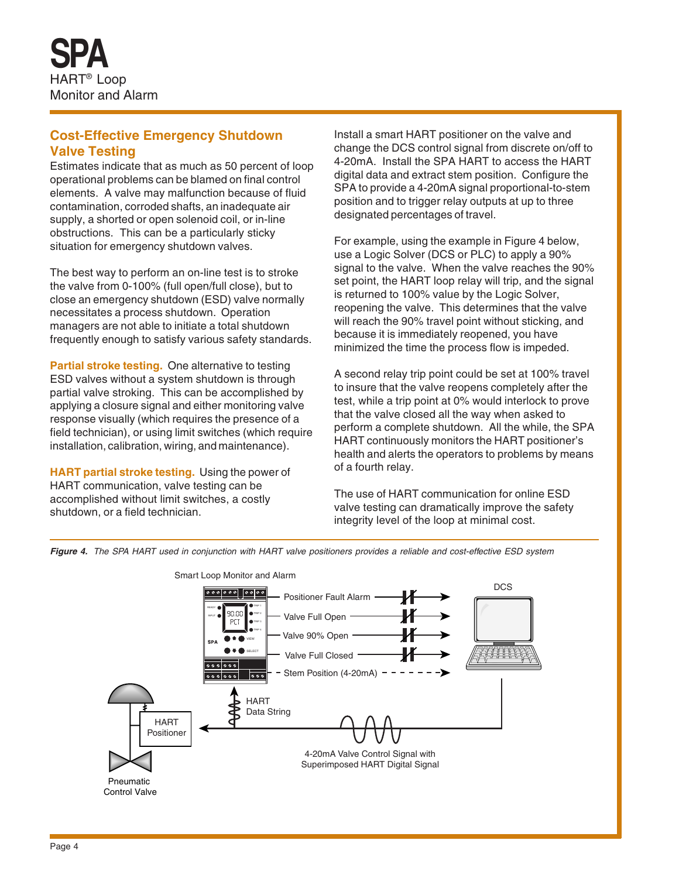#### **Cost-Effective Emergency Shutdown Valve Testing**

Estimates indicate that as much as 50 percent of loop operational problems can be blamed on final control elements. A valve may malfunction because of fluid contamination, corroded shafts, an inadequate air supply, a shorted or open solenoid coil, or in-line obstructions. This can be a particularly sticky situation for emergency shutdown valves.

The best way to perform an on-line test is to stroke the valve from 0-100% (full open/full close), but to close an emergency shutdown (ESD) valve normally necessitates a process shutdown. Operation managers are not able to initiate a total shutdown frequently enough to satisfy various safety standards.

**Partial stroke testing.** One alternative to testing ESD valves without a system shutdown is through partial valve stroking. This can be accomplished by applying a closure signal and either monitoring valve response visually (which requires the presence of a field technician), or using limit switches (which require installation, calibration, wiring, and maintenance).

**HART partial stroke testing.** Using the power of HART communication, valve testing can be accomplished without limit switches, a costly shutdown, or a field technician.

Install a smart HART positioner on the valve and change the DCS control signal from discrete on/off to 4-20mA. Install the SPA HART to access the HART digital data and extract stem position. Configure the SPA to provide a 4-20mA signal proportional-to-stem position and to trigger relay outputs at up to three designated percentages of travel.

For example, using the example in Figure 4 below, use a Logic Solver (DCS or PLC) to apply a 90% signal to the valve. When the valve reaches the 90% set point, the HART loop relay will trip, and the signal is returned to 100% value by the Logic Solver, reopening the valve. This determines that the valve will reach the 90% travel point without sticking, and because it is immediately reopened, you have minimized the time the process flow is impeded.

A second relay trip point could be set at 100% travel to insure that the valve reopens completely after the test, while a trip point at 0% would interlock to prove that the valve closed all the way when asked to perform a complete shutdown. All the while, the SPA HART continuously monitors the HART positioner's health and alerts the operators to problems by means of a fourth relay.

The use of HART communication for online ESD valve testing can dramatically improve the safety integrity level of the loop at minimal cost.



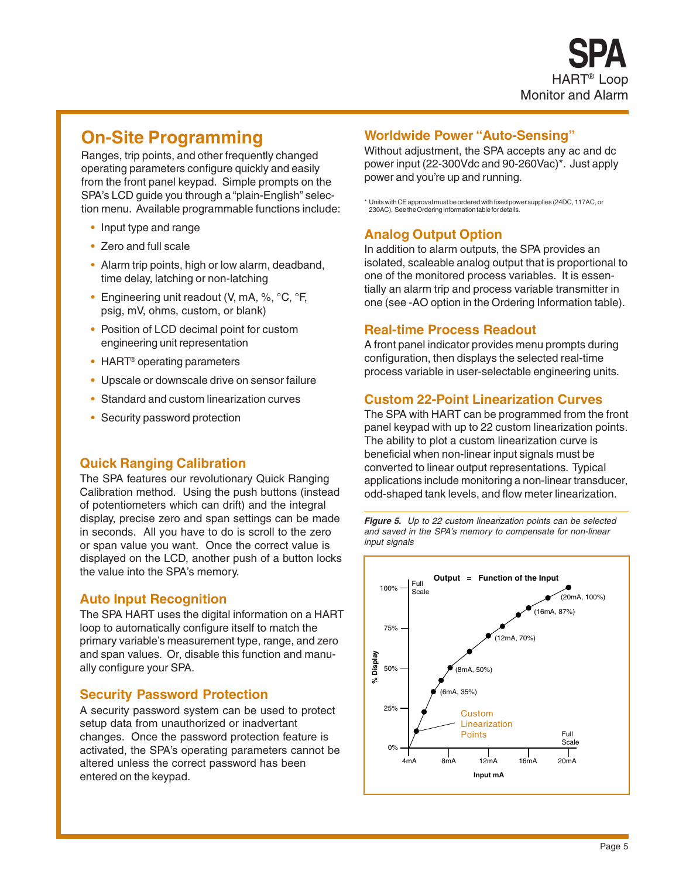#### **On-Site Programming**

Ranges, trip points, and other frequently changed operating parameters configure quickly and easily from the front panel keypad. Simple prompts on the SPA's LCD guide you through a "plain-English" selection menu. Available programmable functions include:

- Input type and range
- Zero and full scale
- Alarm trip points, high or low alarm, deadband, time delay, latching or non-latching
- Engineering unit readout (V, mA, %, °C, °F, psig, mV, ohms, custom, or blank)
- Position of LCD decimal point for custom engineering unit representation
- HART® operating parameters
- Upscale or downscale drive on sensor failure
- Standard and custom linearization curves
- Security password protection

#### **Quick Ranging Calibration**

The SPA features our revolutionary Quick Ranging Calibration method. Using the push buttons (instead of potentiometers which can drift) and the integral display, precise zero and span settings can be made in seconds. All you have to do is scroll to the zero or span value you want. Once the correct value is displayed on the LCD, another push of a button locks the value into the SPA's memory.

#### **Auto Input Recognition**

The SPA HART uses the digital information on a HART loop to automatically configure itself to match the primary variable's measurement type, range, and zero and span values. Or, disable this function and manually configure your SPA.

#### **Security Password Protection**

A security password system can be used to protect setup data from unauthorized or inadvertant changes. Once the password protection feature is activated, the SPA's operating parameters cannot be altered unless the correct password has been entered on the keypad.

#### **Worldwide Power "Auto-Sensing"**

Without adjustment, the SPA accepts any ac and dc power input (22-300Vdc and 90-260Vac)\*. Just apply power and you're up and running.

\* Units with CE approval must be ordered with fixed power supplies (24DC, 117AC, or 230AC). See the Ordering Information table for details.

#### **Analog Output Option**

In addition to alarm outputs, the SPA provides an isolated, scaleable analog output that is proportional to one of the monitored process variables. It is essentially an alarm trip and process variable transmitter in one (see -AO option in the Ordering Information table).

#### **Real-time Process Readout**

A front panel indicator provides menu prompts during configuration, then displays the selected real-time process variable in user-selectable engineering units.

#### **Custom 22-Point Linearization Curves**

The SPA with HART can be programmed from the front panel keypad with up to 22 custom linearization points. The ability to plot a custom linearization curve is beneficial when non-linear input signals must be converted to linear output representations. Typical applications include monitoring a non-linear transducer, odd-shaped tank levels, and flow meter linearization.



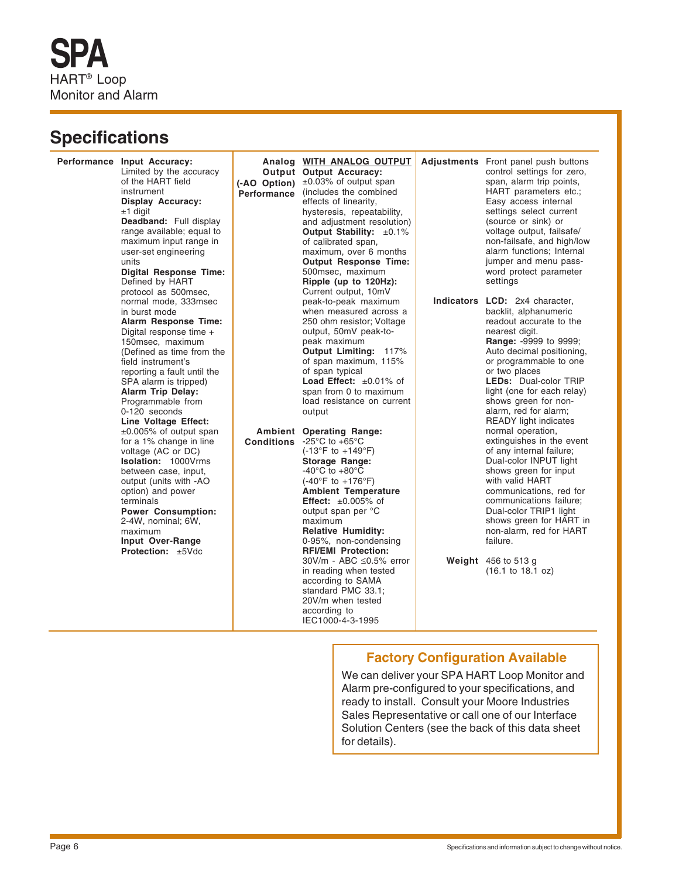#### **Specifications**

Performance Input Accuracy: Limited by the accuracy of the HART field instrument **Display Accuracy:**  $±1$  digit **Deadband:** Full display range available; equal to maximum input range in user-set engineering units **Digital Response Time:** Defined by HART protocol as 500msec, normal mode, 333msec in burst mode **Alarm Response Time:** Digital response time + 150msec, maximum (Defined as time from the field instrument's reporting a fault until the SPA alarm is tripped) **Alarm Trip Delay:** Programmable from 0-120 seconds **Line Voltage Effect:** ±0.005% of output span for a 1% change in line voltage (AC or DC) **Isolation:** 1000Vrms between case, input, output (units with -AO option) and power terminals **Power Consumption:** 2-4W, nominal; 6W, maximum **Input Over-Range Protection:** ±5Vdc

**Ambient Operating Range: Conditions** -25°C to +65°C **Analog WITH ANALOG OUTPUT Output Output Accuracy: (-AO Option)** ±0.03% of output span **Performance** (includes the combined effects of linearity, hysteresis, repeatability, and adjustment resolution) **Output Stability:** ±0.1% of calibrated span, maximum, over 6 months **Output Response Time:** 500msec, maximum **Ripple (up to 120Hz):** Current output, 10mV peak-to-peak maximum when measured across a 250 ohm resistor; Voltage output, 50mV peak-topeak maximum **Output Limiting:** 117% of span maximum, 115% of span typical Load Effect: ±0.01% of span from 0 to maximum load resistance on current output (-13°F to +149°F) **Storage Range:**  $-40^{\circ}$ C to  $+80^{\circ}$ C (-40°F to +176°F) **Ambient Temperature Effect:** ±0.005% of output span per °C maximum **Relative Humidity:** 0-95%, non-condensing **RFI/EMI Protection:** 30V/m - ABC ≤0.5% error in reading when tested according to SAMA standard PMC 33.1; 20V/m when tested according to IEC1000-4-3-1995

**Adjustments** Front panel push buttons control settings for zero, span, alarm trip points, HART parameters etc.; Easy access internal settings select current (source or sink) or voltage output, failsafe/ non-failsafe, and high/low alarm functions; Internal jumper and menu password protect parameter settings

**Indicators LCD:** 2x4 character, backlit, alphanumeric readout accurate to the nearest digit. **Range:** -9999 to 9999; Auto decimal positioning, or programmable to one or two places **LEDs:** Dual-color TRIP light (one for each relay) shows green for nonalarm, red for alarm; READY light indicates normal operation, extinguishes in the event of any internal failure; Dual-color INPUT light shows green for input with valid HART communications, red for communications failure; Dual-color TRIP1 light shows green for HART in non-alarm, red for HART failure.

**Weight** 456 to 513 g (16.1 to 18.1 oz)

#### **Factory Configuration Available**

We can deliver your SPA HART Loop Monitor and Alarm pre-configured to your specifications, and ready to install. Consult your Moore Industries Sales Representative or call one of our Interface Solution Centers (see the back of this data sheet for details).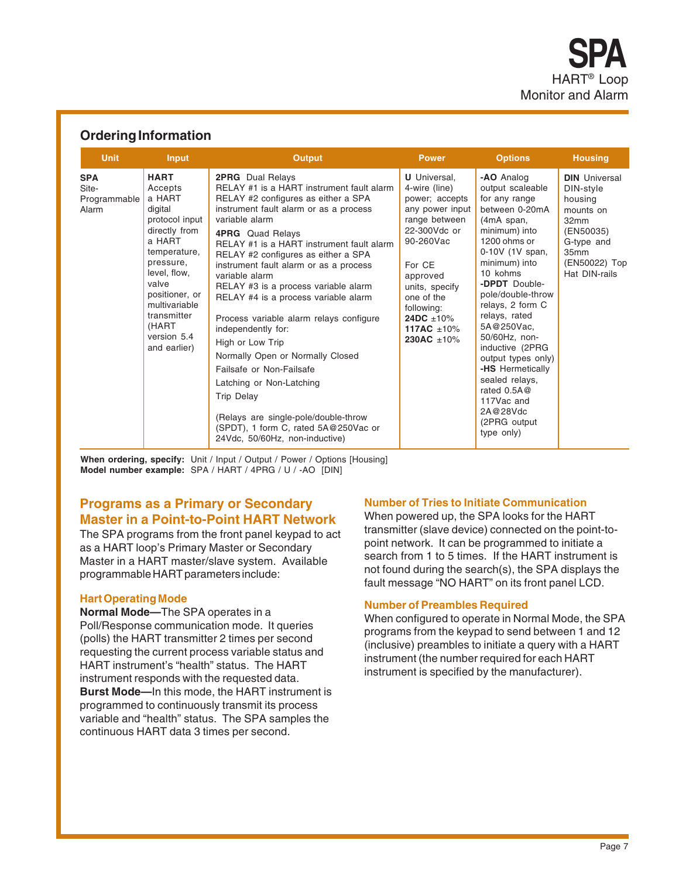#### **Ordering Information**

| <b>Unit</b>                                  | Input                                                                                                                                                                                                                                    | <b>Output</b>                                                                                                                                                                                                                                                                                                                                                                                                                                                                                                                                                                                                                                                                                                                                              | <b>Power</b>                                                                                                                                                                                                                                           | <b>Options</b>                                                                                                                                                                                                                                                                                                                                                                                                                            | <b>Housing</b>                                                                                                                         |
|----------------------------------------------|------------------------------------------------------------------------------------------------------------------------------------------------------------------------------------------------------------------------------------------|------------------------------------------------------------------------------------------------------------------------------------------------------------------------------------------------------------------------------------------------------------------------------------------------------------------------------------------------------------------------------------------------------------------------------------------------------------------------------------------------------------------------------------------------------------------------------------------------------------------------------------------------------------------------------------------------------------------------------------------------------------|--------------------------------------------------------------------------------------------------------------------------------------------------------------------------------------------------------------------------------------------------------|-------------------------------------------------------------------------------------------------------------------------------------------------------------------------------------------------------------------------------------------------------------------------------------------------------------------------------------------------------------------------------------------------------------------------------------------|----------------------------------------------------------------------------------------------------------------------------------------|
| <b>SPA</b><br>Site-<br>Programmable<br>Alarm | <b>HART</b><br>Accepts<br>a HART<br>digital<br>protocol input<br>directly from<br>a HART<br>temperature,<br>pressure,<br>level, flow,<br>valve<br>positioner, or<br>multivariable<br>transmitter<br>(HART<br>version 5.4<br>and earlier) | <b>2PRG</b> Dual Relays<br>RELAY #1 is a HART instrument fault alarm<br>RELAY #2 configures as either a SPA<br>instrument fault alarm or as a process<br>variable alarm<br><b>4PRG</b> Quad Relays<br>RELAY #1 is a HART instrument fault alarm<br>RELAY #2 configures as either a SPA<br>instrument fault alarm or as a process<br>variable alarm<br>RELAY #3 is a process variable alarm<br>RELAY #4 is a process variable alarm<br>Process variable alarm relays configure<br>independently for:<br>High or Low Trip<br>Normally Open or Normally Closed<br>Failsafe or Non-Failsafe<br>Latching or Non-Latching<br><b>Trip Delay</b><br>(Relays are single-pole/double-throw<br>(SPDT), 1 form C, rated 5A@250Vac or<br>24Vdc, 50/60Hz, non-inductive) | <b>U</b> Universal,<br>4-wire (line)<br>power; accepts<br>any power input<br>range between<br>22-300Vdc or<br>90-260Vac<br>For CE<br>approved<br>units, specify<br>one of the<br>following:<br>24DC $\pm 10\%$<br>117AC $\pm 10\%$<br>230AC $\pm 10\%$ | -AO Analog<br>output scaleable<br>for any range<br>between 0-20mA<br>(4mA span,<br>minimum) into<br>1200 ohms or<br>0-10V (1V span,<br>minimum) into<br>10 kohms<br>- <b>DPDT</b> Double-<br>pole/double-throw<br>relays, 2 form C<br>relays, rated<br>5A@250Vac,<br>50/60Hz, non-<br>inductive (2PRG<br>output types only)<br>-HS Hermetically<br>sealed relays,<br>rated 0.5A@<br>117Vac and<br>2A@28Vdc<br>(2PRG output)<br>type only) | <b>DIN</b> Universal<br>DIN-style<br>housing<br>mounts on<br>32mm<br>(EN50035)<br>G-type and<br>35mm<br>(EN50022) Top<br>Hat DIN-rails |

When ordering, specify: Unit / Input / Output / Power / Options [Housing] **Model number example:** SPA / HART / 4PRG / U / -AO [DIN]

#### **Programs as a Primary or Secondary Master in a Point-to-Point HART Network**

The SPA programs from the front panel keypad to act as a HART loop's Primary Master or Secondary Master in a HART master/slave system. Available programmable HART parameters include:

#### **Hart Operating Mode**

**Normal Mode—**The SPA operates in a Poll/Response communication mode. It queries (polls) the HART transmitter 2 times per second requesting the current process variable status and HART instrument's "health" status. The HART instrument responds with the requested data. **Burst Mode—**In this mode, the HART instrument is programmed to continuously transmit its process variable and "health" status. The SPA samples the continuous HART data 3 times per second.

#### **Number of Tries to Initiate Communication**

When powered up, the SPA looks for the HART transmitter (slave device) connected on the point-topoint network. It can be programmed to initiate a search from 1 to 5 times. If the HART instrument is not found during the search(s), the SPA displays the fault message "NO HART" on its front panel LCD.

#### **Number of Preambles Required**

When configured to operate in Normal Mode, the SPA programs from the keypad to send between 1 and 12 (inclusive) preambles to initiate a query with a HART instrument (the number required for each HART instrument is specified by the manufacturer).